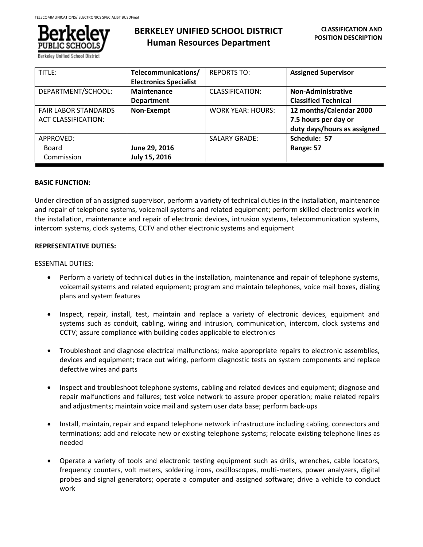

Berkelev Unified School Dist

# **BERKELEY UNIFIED SCHOOL DISTRICT Human Resources Department**

| TITLE:                                                    | Telecommunications/<br><b>Electronics Specialist</b> | <b>REPORTS TO:</b>       | <b>Assigned Supervisor</b>                                                     |
|-----------------------------------------------------------|------------------------------------------------------|--------------------------|--------------------------------------------------------------------------------|
| DEPARTMENT/SCHOOL:                                        | <b>Maintenance</b><br><b>Department</b>              | CLASSIFICATION:          | <b>Non-Administrative</b><br><b>Classified Technical</b>                       |
| <b>FAIR LABOR STANDARDS</b><br><b>ACT CLASSIFICATION:</b> | Non-Exempt                                           | <b>WORK YEAR: HOURS:</b> | 12 months/Calendar 2000<br>7.5 hours per day or<br>duty days/hours as assigned |
| APPROVED:<br>Board<br>Commission                          | June 29, 2016<br>July 15, 2016                       | <b>SALARY GRADE:</b>     | Schedule: 57<br>Range: 57                                                      |

## **BASIC FUNCTION:**

Under direction of an assigned supervisor, perform a variety of technical duties in the installation, maintenance and repair of telephone systems, voicemail systems and related equipment; perform skilled electronics work in the installation, maintenance and repair of electronic devices, intrusion systems, telecommunication systems, intercom systems, clock systems, CCTV and other electronic systems and equipment

## **REPRESENTATIVE DUTIES:**

## ESSENTIAL DUTIES:

- Perform a variety of technical duties in the installation, maintenance and repair of telephone systems, voicemail systems and related equipment; program and maintain telephones, voice mail boxes, dialing plans and system features
- Inspect, repair, install, test, maintain and replace a variety of electronic devices, equipment and systems such as conduit, cabling, wiring and intrusion, communication, intercom, clock systems and CCTV; assure compliance with building codes applicable to electronics
- Troubleshoot and diagnose electrical malfunctions; make appropriate repairs to electronic assemblies, devices and equipment; trace out wiring, perform diagnostic tests on system components and replace defective wires and parts
- Inspect and troubleshoot telephone systems, cabling and related devices and equipment; diagnose and repair malfunctions and failures; test voice network to assure proper operation; make related repairs and adjustments; maintain voice mail and system user data base; perform back-ups
- Install, maintain, repair and expand telephone network infrastructure including cabling, connectors and terminations; add and relocate new or existing telephone systems; relocate existing telephone lines as needed
- Operate a variety of tools and electronic testing equipment such as drills, wrenches, cable locators, frequency counters, volt meters, soldering irons, oscilloscopes, multi-meters, power analyzers, digital probes and signal generators; operate a computer and assigned software; drive a vehicle to conduct work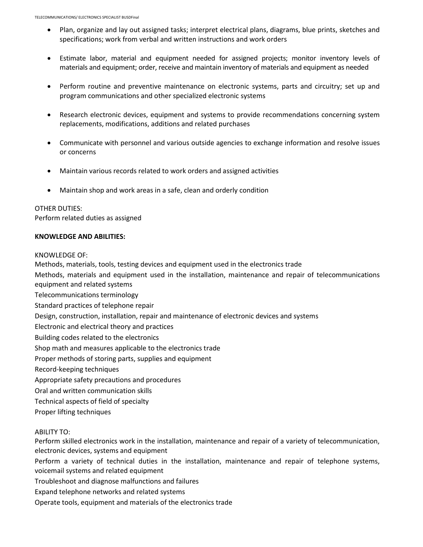- Plan, organize and lay out assigned tasks; interpret electrical plans, diagrams, blue prints, sketches and specifications; work from verbal and written instructions and work orders
- Estimate labor, material and equipment needed for assigned projects; monitor inventory levels of materials and equipment; order, receive and maintain inventory of materials and equipment as needed
- Perform routine and preventive maintenance on electronic systems, parts and circuitry; set up and program communications and other specialized electronic systems
- Research electronic devices, equipment and systems to provide recommendations concerning system replacements, modifications, additions and related purchases
- Communicate with personnel and various outside agencies to exchange information and resolve issues or concerns
- Maintain various records related to work orders and assigned activities
- Maintain shop and work areas in a safe, clean and orderly condition

# OTHER DUTIES:

Perform related duties as assigned

## **KNOWLEDGE AND ABILITIES:**

#### KNOWLEDGE OF:

Methods, materials, tools, testing devices and equipment used in the electronics trade

Methods, materials and equipment used in the installation, maintenance and repair of telecommunications equipment and related systems

Telecommunications terminology

Standard practices of telephone repair

Design, construction, installation, repair and maintenance of electronic devices and systems

Electronic and electrical theory and practices

Building codes related to the electronics

Shop math and measures applicable to the electronics trade

Proper methods of storing parts, supplies and equipment

Record-keeping techniques

- Appropriate safety precautions and procedures
- Oral and written communication skills
- Technical aspects of field of specialty

Proper lifting techniques

#### ABILITY TO:

Perform skilled electronics work in the installation, maintenance and repair of a variety of telecommunication, electronic devices, systems and equipment

Perform a variety of technical duties in the installation, maintenance and repair of telephone systems, voicemail systems and related equipment

Troubleshoot and diagnose malfunctions and failures

Expand telephone networks and related systems

Operate tools, equipment and materials of the electronics trade